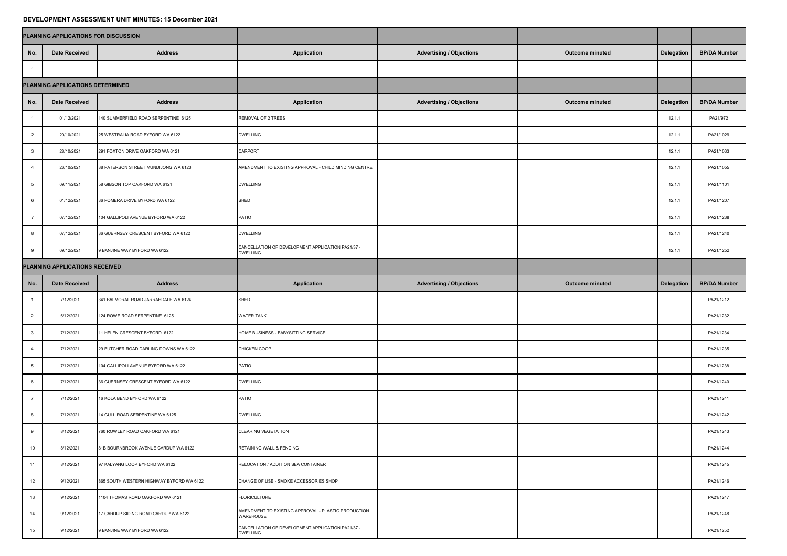## **DEVELOPMENT ASSESSMENT UNIT MINUTES: 15 December 2021**

| PLANNING APPLICATIONS FOR DISCUSSION |                                  |                                          |                                                                      |                                 |                        |            |                     |  |
|--------------------------------------|----------------------------------|------------------------------------------|----------------------------------------------------------------------|---------------------------------|------------------------|------------|---------------------|--|
| No.                                  | <b>Date Received</b>             | <b>Address</b>                           | <b>Application</b>                                                   | <b>Advertising / Objections</b> | <b>Outcome minuted</b> | Delegation | <b>BP/DA Number</b> |  |
|                                      |                                  |                                          |                                                                      |                                 |                        |            |                     |  |
|                                      | PLANNING APPLICATIONS DETERMINED |                                          |                                                                      |                                 |                        |            |                     |  |
| No.                                  | <b>Date Received</b>             | <b>Address</b>                           | <b>Application</b>                                                   | <b>Advertising / Objections</b> | <b>Outcome minuted</b> | Delegation | <b>BP/DA Number</b> |  |
|                                      | 01/12/2021                       | 140 SUMMERFIELD ROAD SERPENTINE 6125     | <b>REMOVAL OF 2 TREES</b>                                            |                                 |                        | 12.1.1     | PA21/972            |  |
|                                      | 20/10/2021                       | 25 WESTRALIA ROAD BYFORD WA 6122         | <b>DWELLING</b>                                                      |                                 |                        | 12.1.1     | PA21/1029           |  |
|                                      | 28/10/2021                       | 291 FOXTON DRIVE OAKFORD WA 6121         | <b>CARPORT</b>                                                       |                                 |                        | 12.1.1     | PA21/1033           |  |
|                                      | 26/10/2021                       | 38 PATERSON STREET MUNDIJONG WA 6123     | AMENDMENT TO EXISTING APPROVAL - CHILD MINDING CENTRE                |                                 |                        | 12.1.1     | PA21/1055           |  |
|                                      | 09/11/2021                       | 58 GIBSON TOP OAKFORD WA 6121            | <b>DWELLING</b>                                                      |                                 |                        | 12.1.1     | PA21/1101           |  |
|                                      | 01/12/2021                       | 36 POMERA DRIVE BYFORD WA 6122           | SHED                                                                 |                                 |                        | 12.1.1     | PA21/1207           |  |
|                                      | 07/12/2021                       | 104 GALLIPOLI AVENUE BYFORD WA 6122      | <b>PATIO</b>                                                         |                                 |                        | 12.1.1     | PA21/1238           |  |
|                                      | 07/12/2021                       | 36 GUERNSEY CRESCENT BYFORD WA 6122      | <b>DWELLING</b>                                                      |                                 |                        | 12.1.1     | PA21/1240           |  |
|                                      | 09/12/2021                       | 9 BANJINE WAY BYFORD WA 6122             | CANCELLATION OF DEVELOPMENT APPLICATION PA21/37 -<br><b>DWELLING</b> |                                 |                        | 12.1.1     | PA21/1252           |  |
| PLANNING APPLICATIONS RECEIVED       |                                  |                                          |                                                                      |                                 |                        |            |                     |  |
| No.                                  | <b>Date Received</b>             | <b>Address</b>                           | <b>Application</b>                                                   | <b>Advertising / Objections</b> | <b>Outcome minuted</b> | Delegation | <b>BP/DA Number</b> |  |
|                                      | 7/12/2021                        | 341 BALMORAL ROAD JARRAHDALE WA 6124     | SHED                                                                 |                                 |                        |            | PA21/1212           |  |
|                                      | 6/12/2021                        | 124 ROWE ROAD SERPENTINE 6125            | <b>WATER TANK</b>                                                    |                                 |                        |            | PA21/1232           |  |
|                                      | 7/12/2021                        | 11 HELEN CRESCENT BYFORD 6122            | HOME BUSINESS - BABYSITTING SERVICE                                  |                                 |                        |            | PA21/1234           |  |
|                                      | 7/12/2021                        | 29 BUTCHER ROAD DARLING DOWNS WA 6122    | <b>CHICKEN COOP</b>                                                  |                                 |                        |            | PA21/1235           |  |
|                                      | 7/12/2021                        | 104 GALLIPOLI AVENUE BYFORD WA 6122      | <b>PATIO</b>                                                         |                                 |                        |            | PA21/1238           |  |
|                                      | 7/12/2021                        | 36 GUERNSEY CRESCENT BYFORD WA 6122      | <b>DWELLING</b>                                                      |                                 |                        |            | PA21/1240           |  |
|                                      | 7/12/2021                        | 16 KOLA BEND BYFORD WA 6122              | <b>PATIO</b>                                                         |                                 |                        |            | PA21/1241           |  |
|                                      | 7/12/2021                        | 14 GULL ROAD SERPENTINE WA 6125          | <b>DWELLING</b>                                                      |                                 |                        |            | PA21/1242           |  |
|                                      | 8/12/2021                        | 760 ROWLEY ROAD OAKFORD WA 6121          | <b>CLEARING VEGETATION</b>                                           |                                 |                        |            | PA21/1243           |  |
| 10                                   | 8/12/2021                        | 81B BOURNBROOK AVENUE CARDUP WA 6122     | <b>RETAINING WALL &amp; FENCING</b>                                  |                                 |                        |            | PA21/1244           |  |
| 11                                   | 8/12/2021                        | 97 KALYANG LOOP BYFORD WA 6122           | RELOCATION / ADDITION SEA CONTAINER                                  |                                 |                        |            | PA21/1245           |  |
| 12                                   | 9/12/2021                        | 865 SOUTH WESTERN HIGHWAY BYFORD WA 6122 | CHANGE OF USE - SMOKE ACCESSORIES SHOP                               |                                 |                        |            | PA21/1246           |  |
| 13                                   | 9/12/2021                        | 1104 THOMAS ROAD OAKFORD WA 6121         | <b>FLORICULTURE</b>                                                  |                                 |                        |            | PA21/1247           |  |
| 14                                   | 9/12/2021                        | 17 CARDUP SIDING ROAD CARDUP WA 6122     | AMENDMENT TO EXISTING APPROVAL - PLASTIC PRODUCTION<br>WAREHOUSE     |                                 |                        |            | PA21/1248           |  |
| 15                                   | 9/12/2021                        | 9 BANJINE WAY BYFORD WA 6122             | CANCELLATION OF DEVELOPMENT APPLICATION PA21/37 -<br><b>DWELLING</b> |                                 |                        |            | PA21/1252           |  |